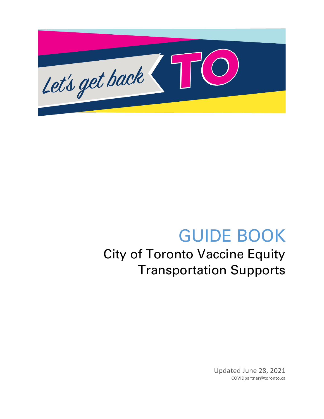

# GUIDE BOOK City of Toronto Vaccine Equity Transportation Supports

Updated June 28, 2021 COVIDpartner@toronto.ca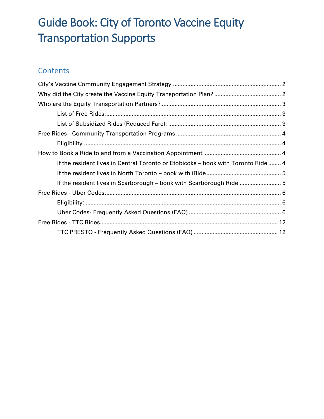# Guide Book: City of Toronto Vaccine Equity Transportation Supports

# **Contents**

| If the resident lives in Central Toronto or Etobicoke - book with Toronto Ride  4 |  |
|-----------------------------------------------------------------------------------|--|
|                                                                                   |  |
| If the resident lives in Scarborough – book with Scarborough Ride 5               |  |
|                                                                                   |  |
|                                                                                   |  |
|                                                                                   |  |
|                                                                                   |  |
|                                                                                   |  |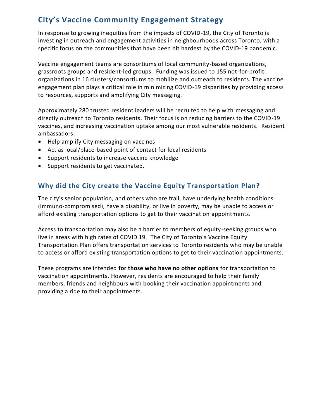# <span id="page-2-0"></span>**City's Vaccine Community Engagement Strategy**

In response to growing inequities from the impacts of COVID-19, the City of Toronto is investing in outreach and engagement activities in neighbourhoods across Toronto, with a specific focus on the communities that have been hit hardest by the COVID-19 pandemic.

Vaccine engagement teams are consortiums of local community-based organizations, grassroots groups and resident-led groups. Funding was issued to 155 not-for-profit organizations in 16 clusters/consortiums to mobilize and outreach to residents. The vaccine engagement plan plays a critical role in minimizing COVID-19 disparities by providing access to resources, supports and amplifying City messaging.

Approximately 280 trusted resident leaders will be recruited to help with messaging and directly outreach to Toronto residents. Their focus is on reducing barriers to the COVID-19 vaccines, and increasing vaccination uptake among our most vulnerable residents. Resident ambassadors:

- Help amplify City messaging on vaccines
- Act as local/place-based point of contact for local residents
- Support residents to increase vaccine knowledge
- Support residents to get vaccinated.

# <span id="page-2-1"></span>**Why did the City create the Vaccine Equity Transportation Plan?**

The city's senior population, and others who are frail, have underlying health conditions (immuno-compromised), have a disability, or live in poverty, may be unable to access or afford existing transportation options to get to their vaccination appointments.

Access to transportation may also be a barrier to members of equity-seeking groups who live in areas with high rates of COVID 19. The City of Toronto's Vaccine Equity Transportation Plan offers transportation services to Toronto residents who may be unable to access or afford existing transportation options to get to their vaccination appointments.

These programs are intended **for those who have no other options** for transportation to vaccination appointments. However, residents are encouraged to help their family members, friends and neighbours with booking their vaccination appointments and providing a ride to their appointments.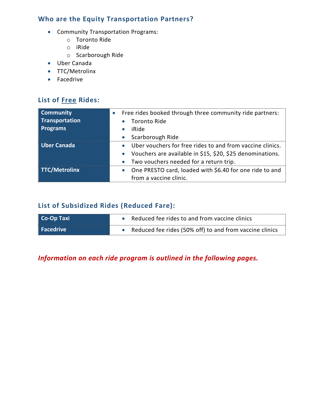# <span id="page-3-0"></span>**Who are the Equity Transportation Partners?**

- Community Transportation Programs:
	- o Toronto Ride
	- o iRide
	- o Scarborough Ride
- Uber Canada
- TTC/Metrolinx
- Facedrive

# <span id="page-3-1"></span>**List of Free Rides:**

| <b>Community</b><br>Transportation<br><b>Programs</b> | Free rides booked through three community ride partners:<br>Toronto Ride<br>iRide<br>Scarborough Ride<br>$\bullet$                                                                                      |
|-------------------------------------------------------|---------------------------------------------------------------------------------------------------------------------------------------------------------------------------------------------------------|
| <b>Uber Canada</b>                                    | Uber vouchers for free rides to and from vaccine clinics.<br>$\bullet$<br>Vouchers are available in \$15, \$20, \$25 denominations.<br>$\bullet$<br>Two vouchers needed for a return trip.<br>$\bullet$ |
| <b>TTC/Metrolinx</b>                                  | One PRESTO card, loaded with \$6.40 for one ride to and<br>$\bullet$<br>from a vaccine clinic.                                                                                                          |

# <span id="page-3-2"></span>**List of Subsidized Rides (Reduced Fare):**

| Co-Op Taxi | • Reduced fee rides to and from vaccine clinics           |
|------------|-----------------------------------------------------------|
| Facedrive  | • Reduced fee rides (50% off) to and from vaccine clinics |

*Information on each ride program is outlined in the following pages.*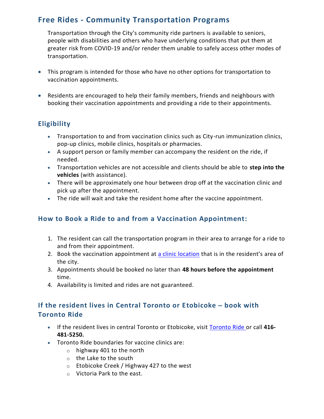# <span id="page-4-0"></span>**Free Rides - Community Transportation Programs**

Transportation through the City's community ride partners is available to seniors, people with disabilities and others who have underlying conditions that put them at greater risk from COVID-19 and/or render them unable to safely access other modes of transportation.

- This program is intended for those who have no other options for transportation to vaccination appointments.
- Residents are encouraged to help their family members, friends and neighbours with booking their vaccination appointments and providing a ride to their appointments.

# <span id="page-4-1"></span>**Eligibility**

- Transportation to and from vaccination clinics such as City-run immunization clinics, pop-up clinics, mobile clinics, hospitals or pharmacies.
- A support person or family member can accompany the resident on the ride, if needed.
- Transportation vehicles are not accessible and clients should be able to **step into the vehicles** (with assistance).
- There will be approximately one hour between drop off at the vaccination clinic and pick up after the appointment.
- The ride will wait and take the resident home after the vaccine appointment.

# <span id="page-4-2"></span>**How to Book a Ride to and from a Vaccination Appointment:**

- 1. The resident can call the transportation program in their area to arrange for a ride to and from their appointment.
- 2. Book the vaccination appointment at [a clinic location](https://www.toronto.ca/home/covid-19/covid-19-protect-yourself-others/covid-19-vaccines/covid-19-how-to-get-vaccinated/?accordion=city-immunization-clinics) that is in the resident's area of the city.
- 3. Appointments should be booked no later than **48 hours before the appointment** time.
- 4. Availability is limited and rides are not guaranteed.

# <span id="page-4-3"></span>**If the resident lives in Central Toronto or Etobicoke** – **book with Toronto Ride**

- If the resident lives in central Toronto or Etobicoke, visit [Toronto Ride](https://torontoride.ca/) or call **416- 481-5250.**
- Toronto Ride boundaries for vaccine clinics are:
	- $\circ$  highway 401 to the north
	- o the Lake to the south
	- o Etobicoke Creek / Highway 427 to the west
	- o Victoria Park to the east.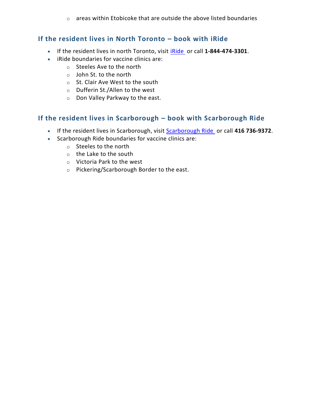o areas within Etobicoke that are outside the above listed boundaries

## <span id="page-5-0"></span>**If the resident lives in North Toronto – book with iRide**

- If the resident lives in north Toronto, visit [iRide](https://www.circleofcare.com/vaccinerides/) or call **1-844-474-3301**.
- iRide boundaries for vaccine clinics are:
	- o Steeles Ave to the north
	- o John St. to the north
	- o St. Clair Ave West to the south
	- o Dufferin St./Allen to the west
	- o Don Valley Parkway to the east.

# <span id="page-5-1"></span>**If the resident lives in Scarborough – book with Scarborough Ride**

- If the resident lives in Scarborough, visit [Scarborough Ride](https://www.schcontario.ca/scarboroughride.html) or call **416 736-9372**.
- Scarborough Ride boundaries for vaccine clinics are:
	- o Steeles to the north
	- o the Lake to the south
	- o Victoria Park to the west
	- o Pickering/Scarborough Border to the east.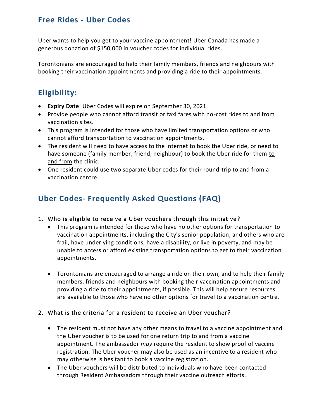# <span id="page-6-0"></span>**Free Rides - Uber Codes**

Uber wants to help you get to your vaccine appointment! Uber Canada has made a generous donation of \$150,000 in voucher codes for individual rides.

Torontonians are encouraged to help their family members, friends and neighbours with booking their vaccination appointments and providing a ride to their appointments.

# <span id="page-6-1"></span>**Eligibility:**

- **Expiry Date**: Uber Codes will expire on September 30, 2021
- Provide people who cannot afford transit or taxi fares with no-cost rides to and from vaccination sites.
- This program is intended for those who have limited transportation options or who cannot afford transportation to vaccination appointments.
- The resident will need to have access to the internet to book the Uber ride, or need to have someone (family member, friend, neighbour) to book the Uber ride for them to and from the clinic.
- One resident could use two separate Uber codes for their round-trip to and from a vaccination centre.

# <span id="page-6-2"></span>**Uber Codes- Frequently Asked Questions (FAQ)**

# 1. Who is eligible to receive a Uber vouchers through this initiative?

- This program is intended for those who have no other options for transportation to vaccination appointments, including the City's senior population, and others who are frail, have underlying conditions, have a disability, or live in poverty, and may be unable to access or afford existing transportation options to get to their vaccination appointments.
- Torontonians are encouraged to arrange a ride on their own, and to help their family members, friends and neighbours with booking their vaccination appointments and providing a ride to their appointments, if possible. This will help ensure resources are available to those who have no other options for travel to a vaccination centre.

# 2. What is the criteria for a resident to receive an Uber voucher?

- The resident must not have any other means to travel to a vaccine appointment and the Uber voucher is to be used for one return trip to and from a vaccine appointment. The ambassador *may* require the resident to show proof of vaccine registration. The Uber voucher may also be used as an incentive to a resident who may otherwise is hesitant to book a vaccine registration.
- The Uber vouchers will be distributed to individuals who have been contacted through Resident Ambassadors through their vaccine outreach efforts.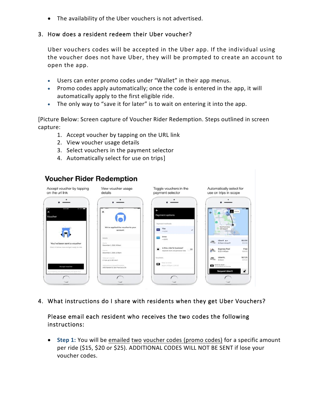• The availability of the Uber vouchers is not advertised.

### 3. How does a resident redeem their Uber voucher?

Uber vouchers codes will be accepted in the Uber app. If the indiv idual using the voucher does not have Uber, they will be prompted to create an account to open the app.

- Users can enter promo codes under "Wallet" in their app menus.
- Promo codes apply automatically; once the code is entered in the app, it will automatically apply to the first eligible ride.
- The only way to "save it for later" is to wait on entering it into the app.

[Picture Below: Screen capture of Voucher Rider Redemption. Steps outlined in screen capture:

- 1. Accept voucher by tapping on the URL link
- 2. View voucher usage details
- 3. Select vouchers in the payment selector
- 4. Automatically select for use on trips]

# **Voucher Rider Redemption**



4. What instructions do I share with residents when they get Uber Vouchers?

### Please email each resident who receives the two codes the following instructions:

• **Step 1:** You will be emailed two voucher codes (promo codes) for a specific amount per ride (\$15, \$20 or \$25). ADDITIONAL CODES WILL NOT BE SENT if lose your voucher codes.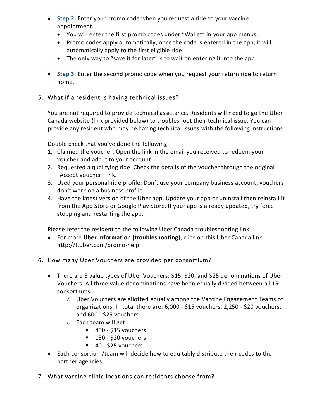- **Step 2:** Enter your promo code when you request a ride to your vaccine appointment.
	- You will enter the first promo codes under "Wallet" in your app menus.
	- Promo codes apply automatically; once the code is entered in the app, it will automatically apply to the first eligible ride.
	- The only way to "save it for later" is to wait on entering it into the app.
- Step 3: Enter the second promo code when you request your return ride to return home.

# 5. What if a resident is having technical issues?

You are not required to provide technical assistance. Residents will need to go the Uber Canada website (link provided below) to troubleshoot their technical issue. You can provide any resident who may be having technical issues with the following instructions:

Double check that you've done the following:

- 1. Claimed the voucher. Open the link in the email you received to redeem your voucher and add it to your account.
- 2. Requested a qualifying ride. Check the details of the voucher through the original "Accept voucher" link.
- 3. Used your personal ride profile. Don't use your company business account; vouchers don't work on a business profile.
- 4. Have the latest version of the Uber app. Update your app or uninstall then reinstall it from the App Store or Google Play Store. If your app is already updated, try force stopping and restarting the app.

Please refer the resident to the following Uber Canada troubleshooting link:

• For more **Uber information (troubleshooting**), click on this Uber Canada link: <http://t.uber.com/promo-help>

# 6. How many Uber Vouchers are provided per consortium?

- There are 3 value types of Uber Vouchers: \$15, \$20, and \$25 denominations of Uber Vouchers. All three value denominations have been equally divided between all 15 consortiums.
	- o Uber Vouchers are allotted equally among the Vaccine Engagement Teams of organizations. In total there are: 6,000 - \$15 vouchers, 2,250 - \$20 vouchers, and 600 - \$25 vouchers.
	- o Each team will get:
		- 400 \$15 vouchers
		- $\blacksquare$  150 \$20 vouchers
		- 40 \$25 vouchers
- Each consortium/team will decide how to equitably distribute their codes to the partner agencies.
- 7. What vaccine clinic locations can residents choose from?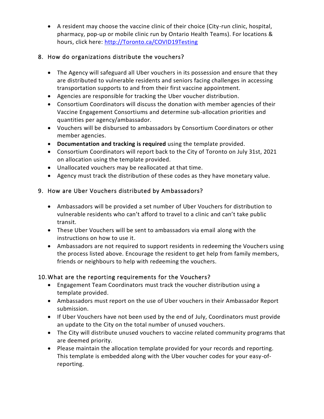• A resident may choose the vaccine clinic of their choice (City-run clinic, hospital, pharmacy, pop-up or mobile clinic run by Ontario Health Teams). For locations & hours, click here: [http://Toronto.ca/COVID19Testing](http://toronto.ca/COVID19Testing)

# 8. How do organizations distribute the vouchers?

- The Agency will safeguard all Uber vouchers in its possession and ensure that they are distributed to vulnerable residents and seniors facing challenges in accessing transportation supports to and from their first vaccine appointment.
- Agencies are responsible for tracking the Uber voucher distribution.
- Consortium Coordinators will discuss the donation with member agencies of their Vaccine Engagement Consortiums and determine sub-allocation priorities and quantities per agency/ambassador.
- Vouchers will be disbursed to ambassadors by Consortium Coordinators or other member agencies.
- **Documentation and tracking is required** using the template provided.
- Consortium Coordinators will report back to the City of Toronto on July 31st, 2021 on allocation using the template provided.
- Unallocated vouchers may be reallocated at that time.
- Agency must track the distribution of these codes as they have monetary value.

# 9. How are Uber Vouchers distributed by Ambassadors?

- Ambassadors will be provided a set number of Uber Vouchers for distribution to vulnerable residents who can't afford to travel to a clinic and can't take public transit.
- These Uber Vouchers will be sent to ambassadors via email along with the instructions on how to use it.
- Ambassadors are not required to support residents in redeeming the Vouchers using the process listed above. Encourage the resident to get help from family members, friends or neighbours to help with redeeming the vouchers.

# 10.What are the reporting requirements for the Vouchers?

- Engagement Team Coordinators must track the voucher distribution using a template provided.
- Ambassadors must report on the use of Uber vouchers in their Ambassador Report submission.
- If Uber Vouchers have not been used by the end of July, Coordinators must provide an update to the City on the total number of unused vouchers.
- The City will distribute unused vouchers to vaccine related community programs that are deemed priority.
- Please maintain the allocation template provided for your records and reporting. This template is embedded along with the Uber voucher codes for your easy-ofreporting.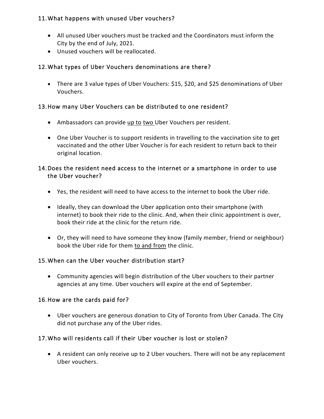# 11.What happens with unused Uber vouchers?

- All unused Uber vouchers must be tracked and the Coordinators must inform the City by the end of July, 2021.
- Unused vouchers will be reallocated.

# 12.What types of Uber Vouchers denominations are there?

• There are 3 value types of Uber Vouchers: \$15, \$20, and \$25 denominations of Uber Vouchers.

# 13.How many Uber Vouchers can be distributed to one resident?

- Ambassadors can provide up to two Uber Vouchers per resident.
- One Uber Voucher is to support residents in travelling to the vaccination site to get vaccinated and the other Uber Voucher is for each resident to return back to their original location.

# 14.Does the resident need access to the internet or a smartphone in order to use the Uber voucher?

- Yes, the resident will need to have access to the internet to book the Uber ride.
- Ideally, they can download the Uber application onto their smartphone (with internet) to book their ride to the clinic. And, when their clinic appointment is over, book their ride at the clinic for the return ride.
- Or, they will need to have someone they know (family member, friend or neighbour) book the Uber ride for them to and from the clinic.

# 15.When can the Uber voucher distribution start?

• Community agencies will begin distribution of the Uber vouchers to their partner agencies at any time. Uber vouchers will expire at the end of September.

# 16.How are the cards paid for?

• Uber vouchers are generous donation to City of Toronto from Uber Canada. The City did not purchase any of the Uber rides.

# 17.Who will residents call if their Uber voucher is lost or stolen?

• A resident can only receive up to 2 Uber vouchers. There will not be any replacement Uber vouchers.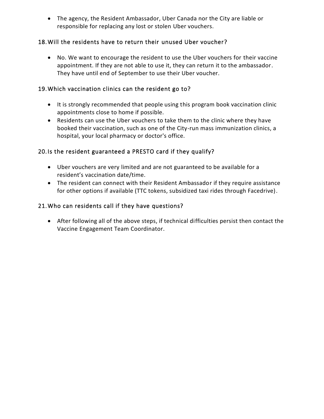• The agency, the Resident Ambassador, Uber Canada nor the City are liable or responsible for replacing any lost or stolen Uber vouchers.

## 18.Will the residents have to return their unused Uber voucher?

• No. We want to encourage the resident to use the Uber vouchers for their vaccine appointment. If they are not able to use it, they can return it to the ambassador. They have until end of September to use their Uber voucher.

### 19.Which vaccination clinics can the resident go to?

- It is strongly recommended that people using this program book vaccination clinic appointments close to home if possible.
- Residents can use the Uber vouchers to take them to the clinic where they have booked their vaccination, such as one of the City-run mass immunization clinics, a hospital, your local pharmacy or doctor's office.

# 20.Is the resident guaranteed a PRESTO card if they qualify?

- Uber vouchers are very limited and are not guaranteed to be available for a resident's vaccination date/time.
- The resident can connect with their Resident Ambassador if they require assistance for other options if available (TTC tokens, subsidized taxi rides through Facedrive).

### 21.Who can residents call if they have questions?

• After following all of the above steps, if technical difficulties persist then contact the Vaccine Engagement Team Coordinator.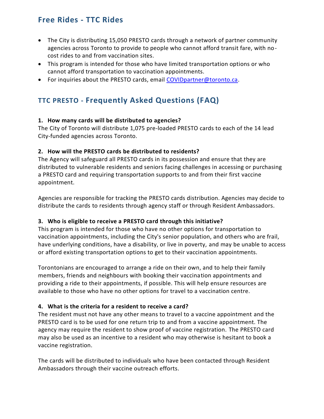# <span id="page-12-0"></span>**Free Rides - TTC Rides**

- The City is distributing 15,050 PRESTO cards through a network of partner community agencies across Toronto to provide to people who cannot afford transit fare, with nocost rides to and from vaccination sites.
- This program is intended for those who have limited transportation options or who cannot afford transportation to vaccination appointments.
- For inquiries about the PRESTO cards, email [COVIDpartner@toronto.ca.](mailto:COVIDpartner@toronto.ca)

# <span id="page-12-1"></span>**TTC PRESTO - Frequently Asked Questions (FAQ)**

#### **1. How many cards will be distributed to agencies?**

The City of Toronto will distribute 1,075 pre-loaded PRESTO cards to each of the 14 lead City-funded agencies across Toronto.

### **2. How will the PRESTO cards be distributed to residents?**

The Agency will safeguard all PRESTO cards in its possession and ensure that they are distributed to vulnerable residents and seniors facing challenges in accessing or purchasing a PRESTO card and requiring transportation supports to and from their first vaccine appointment.

Agencies are responsible for tracking the PRESTO cards distribution. Agencies may decide to distribute the cards to residents through agency staff or through Resident Ambassadors.

# **3. Who is eligible to receive a PRESTO card through this initiative?**

This program is intended for those who have no other options for transportation to vaccination appointments, including the City's senior population, and others who are frail, have underlying conditions, have a disability, or live in poverty, and may be unable to access or afford existing transportation options to get to their vaccination appointments.

Torontonians are encouraged to arrange a ride on their own, and to help their family members, friends and neighbours with booking their vaccination appointments and providing a ride to their appointments, if possible. This will help ensure resources are available to those who have no other options for travel to a vaccination centre.

# **4. What is the criteria for a resident to receive a card?**

The resident must not have any other means to travel to a vaccine appointment and the PRESTO card is to be used for one return trip to and from a vaccine appointment. The agency may require the resident to show proof of vaccine registration. The PRESTO card may also be used as an incentive to a resident who may otherwise is hesitant to book a vaccine registration.

The cards will be distributed to individuals who have been contacted through Resident Ambassadors through their vaccine outreach efforts.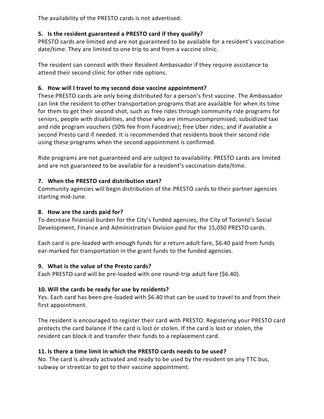The availability of the PRESTO cards is not advertised.

# **5. Is the resident guaranteed a PRESTO card if they qualify?**

PRESTO cards are limited and are not guaranteed to be available for a resident's vaccination date/time. They are limited to one trip to and from a vaccine clinic.

The resident can connect with their Resident Ambassador if they require assistance to attend their second clinic for other ride options.

## **6. How will I travel to my second dose vaccine appointment?**

These PRESTO cards are only being distributed for a person's first vaccine. The Ambassador can link the resident to other transportation programs that are available for when its time for them to get their second shot, such as free rides through community ride programs for seniors, people with disabilities, and those who are immunocompromised; subsidized taxi and ride program vouchers (50% fee from Facedrive); free Uber rides; and if available a second Presto card if needed. It is recommended that residents book their second ride using these programs when the second appointment is confirmed.

Ride programs are not guaranteed and are subject to availability. PRESTO cards are limited and are not guaranteed to be available for a resident's vaccination date/time.

### **7. When the PRESTO card distribution start?**

Community agencies will begin distribution of the PRESTO cards to their partner agencies starting mid-June.

#### **8. How are the cards paid for?**

To decrease financial burden for the City's funded agencies, the City of Toronto's Social Development, Finance and Administration Division paid for the 15,050 PRESTO cards.

Each card is pre-loaded with enough funds for a return adult fare, \$6.40 paid from funds ear-marked for transportation in the grant funds to the funded agencies.

#### **9. What is the value of the Presto cards?**

Each PRESTO card will be pre-loaded with one round-trip adult fare (\$6.40).

#### **10. Will the cards be ready for use by residents?**

Yes. Each card has been pre-loaded with \$6.40 that can be used to travel to and from their first appointment.

The resident is encouraged to register their card with PRESTO. Registering your PRESTO card protects the card balance if the card is lost or stolen. If the card is lost or stolen, the resident can block it and transfer their funds to a replacement card.

# **11. Is there a time limit in which the PRESTO cards needs to be used?**

No. The card is already activated and ready to be used by the resident on any TTC bus, subway or streetcar to get to their vaccine appointment.